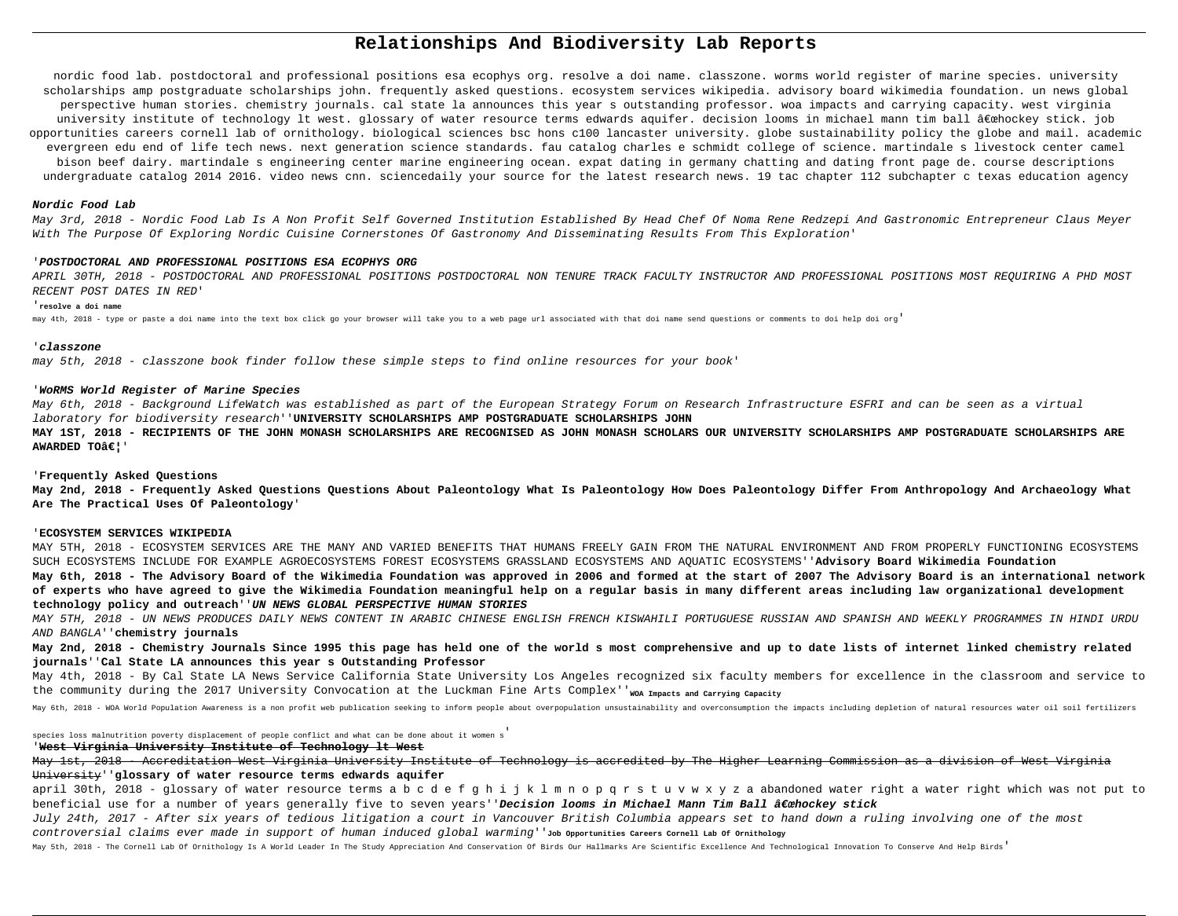# **Relationships And Biodiversity Lab Reports**

nordic food lab. postdoctoral and professional positions esa ecophys org. resolve a doi name. classzone. worms world register of marine species. university scholarships amp postgraduate scholarships john. frequently asked questions. ecosystem services wikipedia. advisory board wikimedia foundation. un news global perspective human stories. chemistry journals. cal state la announces this year s outstanding professor. woa impacts and carrying capacity. west virginia university institute of technology lt west. glossary of water resource terms edwards aquifer. decision looms in michael mann tim ball "hockey stick. job opportunities careers cornell lab of ornithology. biological sciences bsc hons c100 lancaster university. globe sustainability policy the globe and mail. academic evergreen edu end of life tech news. next generation science standards. fau catalog charles e schmidt college of science. martindale s livestock center camel bison beef dairy. martindale s engineering center marine engineering ocean. expat dating in germany chatting and dating front page de. course descriptions undergraduate catalog 2014 2016. video news cnn. sciencedaily your source for the latest research news. 19 tac chapter 112 subchapter c texas education agency

## **Nordic Food Lab**

May 3rd, 2018 - Nordic Food Lab Is A Non Profit Self Governed Institution Established By Head Chef Of Noma Rene Redzepi And Gastronomic Entrepreneur Claus Meyer With The Purpose Of Exploring Nordic Cuisine Cornerstones Of Gastronomy And Disseminating Results From This Exploration'

#### '**POSTDOCTORAL AND PROFESSIONAL POSITIONS ESA ECOPHYS ORG**

APRIL 30TH, 2018 - POSTDOCTORAL AND PROFESSIONAL POSITIONS POSTDOCTORAL NON TENURE TRACK FACULTY INSTRUCTOR AND PROFESSIONAL POSITIONS MOST REQUIRING A PHD MOST RECENT POST DATES IN RED'

## '**resolve a doi name**

may 4th, 2018 - type or paste a doi name into the text box click go your browser will take you to a web page url associated with that doi name send questions or comments to doi help doi org'

## '**classzone**

may 5th, 2018 - classzone book finder follow these simple steps to find online resources for your book'

## '**WoRMS World Register of Marine Species**

May 6th, 2018 - Background LifeWatch was established as part of the European Strategy Forum on Research Infrastructure ESFRI and can be seen as a virtual laboratory for biodiversity research''**UNIVERSITY SCHOLARSHIPS AMP POSTGRADUATE SCHOLARSHIPS JOHN**

**MAY 1ST, 2018 - RECIPIENTS OF THE JOHN MONASH SCHOLARSHIPS ARE RECOGNISED AS JOHN MONASH SCHOLARS OUR UNIVERSITY SCHOLARSHIPS AMP POSTGRADUATE SCHOLARSHIPS ARE AWARDED TOâ€!**'

### '**Frequently Asked Questions**

**May 2nd, 2018 - Frequently Asked Questions Questions About Paleontology What Is Paleontology How Does Paleontology Differ From Anthropology And Archaeology What Are The Practical Uses Of Paleontology**'

#### '**ECOSYSTEM SERVICES WIKIPEDIA**

MAY 5TH, 2018 - ECOSYSTEM SERVICES ARE THE MANY AND VARIED BENEFITS THAT HUMANS FREELY GAIN FROM THE NATURAL ENVIRONMENT AND FROM PROPERLY FUNCTIONING ECOSYSTEMS SUCH ECOSYSTEMS INCLUDE FOR EXAMPLE AGROECOSYSTEMS FOREST ECOSYSTEMS GRASSLAND ECOSYSTEMS AND AQUATIC ECOSYSTEMS''**Advisory Board Wikimedia Foundation**

**May 6th, 2018 - The Advisory Board of the Wikimedia Foundation was approved in 2006 and formed at the start of 2007 The Advisory Board is an international network of experts who have agreed to give the Wikimedia Foundation meaningful help on a regular basis in many different areas including law organizational development technology policy and outreach**''**UN NEWS GLOBAL PERSPECTIVE HUMAN STORIES**

MAY 5TH, 2018 - UN NEWS PRODUCES DAILY NEWS CONTENT IN ARABIC CHINESE ENGLISH FRENCH KISWAHILI PORTUGUESE RUSSIAN AND SPANISH AND WEEKLY PROGRAMMES IN HINDI URDU AND BANGLA''**chemistry journals**

**May 2nd, 2018 - Chemistry Journals Since 1995 this page has held one of the world s most comprehensive and up to date lists of internet linked chemistry related journals**''**Cal State LA announces this year s Outstanding Professor**

May 4th, 2018 - By Cal State LA News Service California State University Los Angeles recognized six faculty members for excellence in the classroom and service to the community during the 2017 University Convocation at the Luckman Fine Arts Complex''<sub>WOA Impacts and Carrying Capacity</sub>

May 6th, 2018 - WOA World Population Awareness is a non profit web publication seeking to inform people about overpopulation unsustainability and overconsumption the impacts including depletion of natural resources water o

species loss malnutrition poverty displacement of people conflict and what can be done about it women s'

#### '**West Virginia University Institute of Technology lt West**

May 1st, 2018 - Accreditation West Virginia University Institute of Technology is accredited by The Higher Learning Commission as a division of West Virginia University''**glossary of water resource terms edwards aquifer**

april 30th, 2018 - glossary of water resource terms a b c d e f g h i j k l m n o p q r s t u v w x y z a abandoned water right a water right which was not put to beneficial use for a number of years generally five to seven years''Decision looms in Michael Mann Tim Ball "hockey stick

July 24th, 2017 - After six years of tedious litigation a court in Vancouver British Columbia appears set to hand down a ruling involving one of the most controversial claims ever made in support of human induced global warming''**Job Opportunities Careers Cornell Lab Of Ornithology**

May 5th, 2018 - The Cornell Lab Of Ornithology Is A World Leader In The Study Appreciation And Conservation Of Birds Our Hallmarks Are Scientific Excellence And Technological Innovation To Conserve And Help Birds'